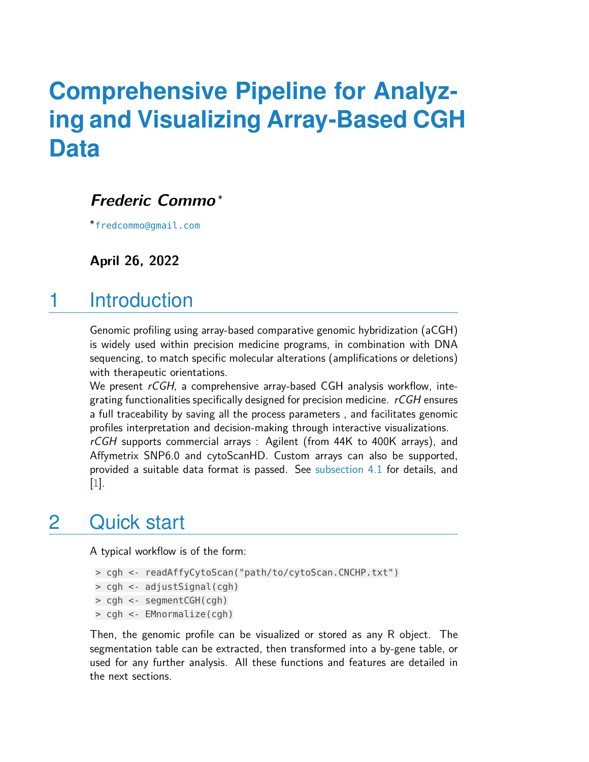# **Comprehensive Pipeline for Analyzing and Visualizing Array-Based CGH Data**

#### **Frederic Commo** <sup>∗</sup>

∗ [fredcommo@gmail.com](mailto:fredcommo@gmail.com)

**April 26, 2022**

## 1 Introduction

Genomic profiling using array-based comparative genomic hybridization (aCGH) is widely used within precision medicine programs, in combination with DNA sequencing, to match specific molecular alterations (amplifications or deletions) with therapeutic orientations.

We present rCGH, a comprehensive array-based CGH analysis workflow, integrating functionalities specifically designed for precision medicine.  $rCGH$  ensures a full traceability by saving all the process parameters , and facilitates genomic profiles interpretation and decision-making through interactive visualizations.

rCGH supports commercial arrays : Agilent (from 44K to 400K arrays), and Affymetrix SNP6.0 and cytoScanHD. Custom arrays can also be supported, provided a suitable data format is passed. See [subsection 4.1](#page-1-0) for details, and [\[1\]](#page-22-0).

## 2 Quick start

A typical workflow is of the form:

```
> cgh <- readAffyCytoScan("path/to/cytoScan.CNCHP.txt")
```

```
> cgh <- adjustSignal(cgh)
```

```
> cgh <- segmentCGH(cgh)
```
> cgh <- EMnormalize(cgh)

Then, the genomic profile can be visualized or stored as any R object. The segmentation table can be extracted, then transformed into a by-gene table, or used for any further analysis. All these functions and features are detailed in the next sections.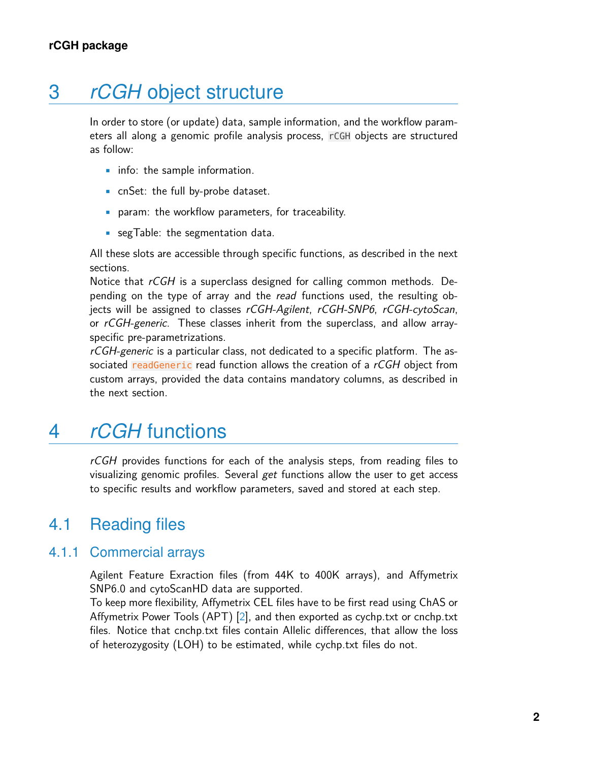## 3 *rCGH* object structure

In order to store (or update) data, sample information, and the workflow parameters all along a genomic profile analysis process, rCGH objects are structured as follow:

- info: the sample information.
- cnSet: the full by-probe dataset.
- param: the workflow parameters, for traceability.
- segTable: the segmentation data.

All these slots are accessible through specific functions, as described in the next sections.

Notice that  $rCGH$  is a superclass designed for calling common methods. Depending on the type of array and the read functions used, the resulting objects will be assigned to classes rCGH-Agilent, rCGH-SNP6, rCGH-cytoScan, or rCGH-generic. These classes inherit from the superclass, and allow arrayspecific pre-parametrizations.

rCGH-generic is a particular class, not dedicated to a specific platform. The associated readGeneric read function allows the creation of a rCGH object from custom arrays, provided the data contains mandatory columns, as described in the next section.

## 4 *rCGH* functions

<span id="page-1-0"></span>rCGH provides functions for each of the analysis steps, from reading files to visualizing genomic profiles. Several get functions allow the user to get access to specific results and workflow parameters, saved and stored at each step.

### 4.1 Reading files

#### 4.1.1 Commercial arrays

Agilent Feature Exraction files (from 44K to 400K arrays), and Affymetrix SNP6.0 and cytoScanHD data are supported.

To keep more flexibility, Affymetrix CEL files have to be first read using ChAS or Affymetrix Power Tools (APT) [\[2\]](#page-22-1), and then exported as cychp.txt or cnchp.txt files. Notice that cnchp.txt files contain Allelic differences, that allow the loss of heterozygosity (LOH) to be estimated, while cychp.txt files do not.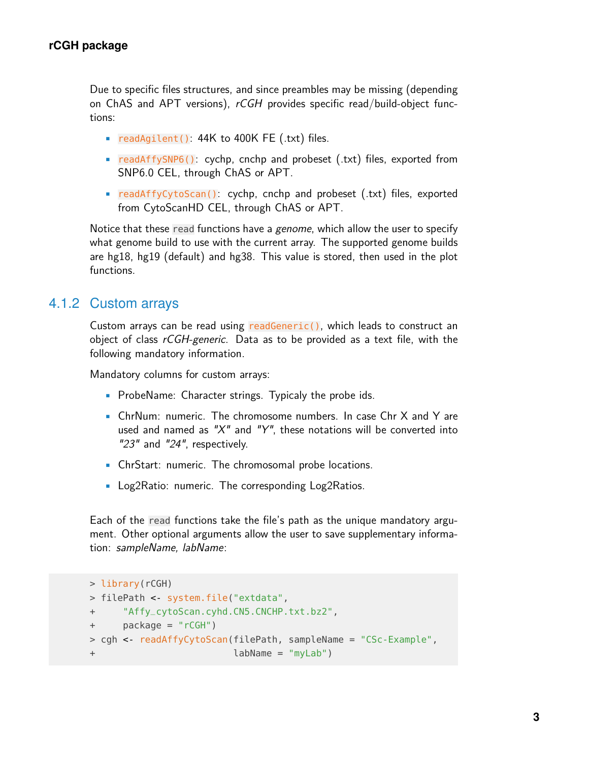Due to specific files structures, and since preambles may be missing (depending on ChAS and APT versions),  $rGCH$  provides specific read/build-object functions:

- readAgilent(): 44K to 400K FE (.txt) files.
- readAffySNP6(): cychp, cnchp and probeset (.txt) files, exported from SNP6.0 CEL, through ChAS or APT.
- readAffyCytoScan(): cychp, cnchp and probeset (.txt) files, exported from CytoScanHD CEL, through ChAS or APT.

Notice that these read functions have a genome, which allow the user to specify what genome build to use with the current array. The supported genome builds are hg18, hg19 (default) and hg38. This value is stored, then used in the plot functions.

#### 4.1.2 Custom arrays

Custom arrays can be read using readGeneric(), which leads to construct an object of class rCGH-generic. Data as to be provided as a text file, with the following mandatory information.

Mandatory columns for custom arrays:

- ProbeName: Character strings. Typicaly the probe ids.
- ChrNum: numeric. The chromosome numbers. In case Chr X and Y are used and named as " $X''$  and " $Y''$ , these notations will be converted into "23" and "24", respectively.
- ChrStart: numeric. The chromosomal probe locations.
- Log2Ratio: numeric. The corresponding Log2Ratios.

Each of the read functions take the file's path as the unique mandatory argument. Other optional arguments allow the user to save supplementary information: sampleName, labName:

```
> library(rCGH)
> filePath <- system.file("extdata",
+ "Affy_cytoScan.cyhd.CN5.CNCHP.txt.bz2",
+ package = "rCGH")
> cgh <- readAffyCytoScan(filePath, sampleName = "CSc-Example",
+ labName = "myLab")
```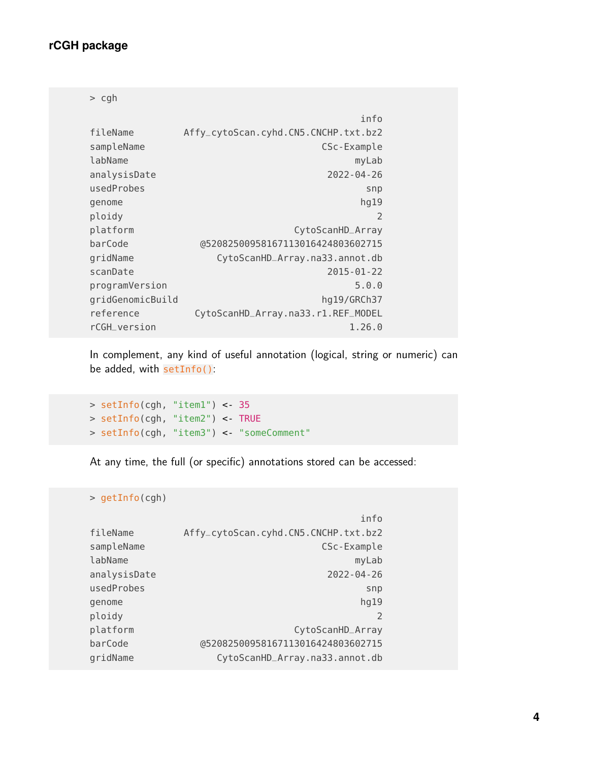#### **rCGH package**

> cgh

|                  | info                                 |
|------------------|--------------------------------------|
| fileName         | Affy_cytoScan.cyhd.CN5.CNCHP.txt.bz2 |
| sampleName       | CSc-Example                          |
| labName          | myLab                                |
| analysisDate     | 2022-04-26                           |
| usedProbes       | snp                                  |
| genome           | hg19                                 |
| ploidy           | 2                                    |
| platform         | CytoScanHD_Array                     |
| barCode          | @52082500958167113016424803602715    |
| gridName         | CytoScanHD_Array.na33.annot.db       |
| scanDate         | 2015-01-22                           |
| programVersion   | 5.0.0                                |
| gridGenomicBuild | hg19/GRCh37                          |
| reference        | CytoScanHD_Array.na33.r1.REF_MODEL   |
| rCGH_version     | 1,26,0                               |

In complement, any kind of useful annotation (logical, string or numeric) can be added, with setInfo():

> setInfo(cgh, "item1") <- 35 > setInfo(cgh, "item2") <- TRUE > setInfo(cgh, "item3") <- "someComment"

At any time, the full (or specific) annotations stored can be accessed:

> getInfo(cgh)

|              | info                                 |
|--------------|--------------------------------------|
| fileName     | Affy_cytoScan.cyhd.CN5.CNCHP.txt.bz2 |
| sampleName   | CSc-Example                          |
| labName      | myLab                                |
| analysisDate | $2022 - 04 - 26$                     |
| usedProbes   | snp                                  |
| genome       | hg19                                 |
| ploidy       |                                      |
| platform     | CytoScanHD_Array                     |
| barCode      | @52082500958167113016424803602715    |
| gridName     | CytoScanHD_Array.na33.annot.db       |
|              |                                      |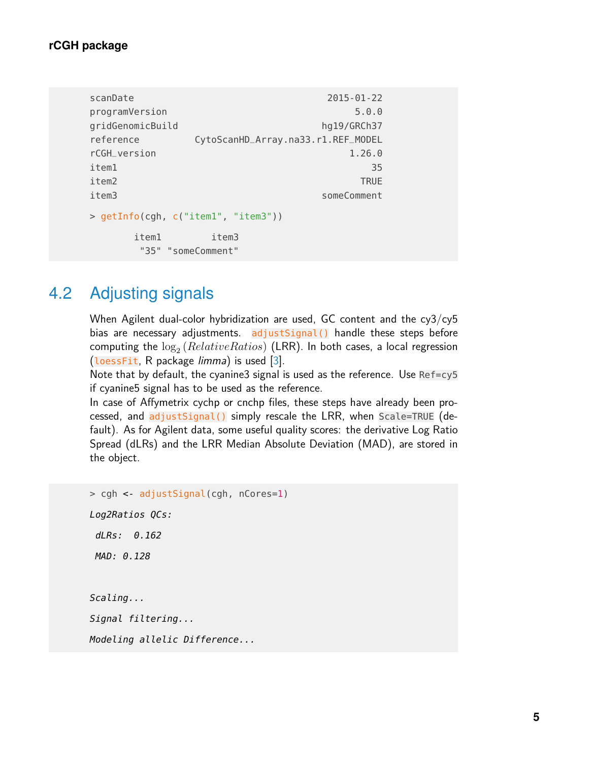#### **rCGH package**

```
scanDate 2015-01-22
programVersion 5.0.0
gridGenomicBuild hg19/GRCh37
reference CytoScanHD_Array.na33.r1.REF_MODEL
rCGH_version 1.26.0
item1 35
item2 TRUE
item3 someComment
> getInfo(cgh, c("item1", "item3"))
   item1 item3
    "35" "someComment"
```
### 4.2 Adjusting signals

When Agilent dual-color hybridization are used, GC content and the cy3/cy5 bias are necessary adjustments. adjustSignal() handle these steps before computing the  $\log_2\left(RelativeRations\right)$  (LRR). In both cases, a local regression (loessFit, R package limma) is used [\[3\]](#page-22-2).

Note that by default, the cyanine3 signal is used as the reference. Use Ref=cy5 if cyanine5 signal has to be used as the reference.

In case of Affymetrix cychp or cnchp files, these steps have already been processed, and adjustSignal() simply rescale the LRR, when Scale=TRUE (default). As for Agilent data, some useful quality scores: the derivative Log Ratio Spread (dLRs) and the LRR Median Absolute Deviation (MAD), are stored in the object.

> cgh <- adjustSignal(cgh, nCores=1) Log2Ratios QCs: dLRs: 0.162 MAD: 0.128 Scaling... Signal filtering... Modeling allelic Difference...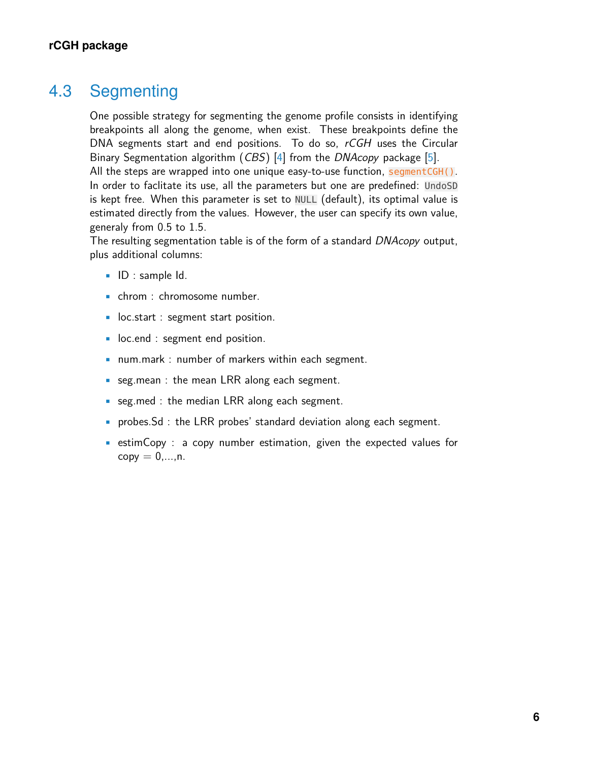### 4.3 Segmenting

One possible strategy for segmenting the genome profile consists in identifying breakpoints all along the genome, when exist. These breakpoints define the DNA segments start and end positions. To do so, rCGH uses the Circular Binary Segmentation algorithm (CBS) [\[4\]](#page-22-3) from the DNAcopy package [\[5\]](#page-22-4). All the steps are wrapped into one unique easy-to-use function, segmentCGH().

In order to faclitate its use, all the parameters but one are predefined: UndoSD is kept free. When this parameter is set to NULL (default), its optimal value is estimated directly from the values. However, the user can specify its own value, generaly from 0.5 to 1.5.

The resulting segmentation table is of the form of a standard DNAcopy output, plus additional columns:

- ID : sample Id.
- chrom : chromosome number.
- loc.start : segment start position.
- loc.end : segment end position.
- num.mark : number of markers within each segment.
- seg.mean : the mean LRR along each segment.
- seg.med : the median LRR along each segment.
- probes.Sd : the LRR probes' standard deviation along each segment.
- estimCopy : a copy number estimation, given the expected values for  $copy = 0, \ldots, n$ .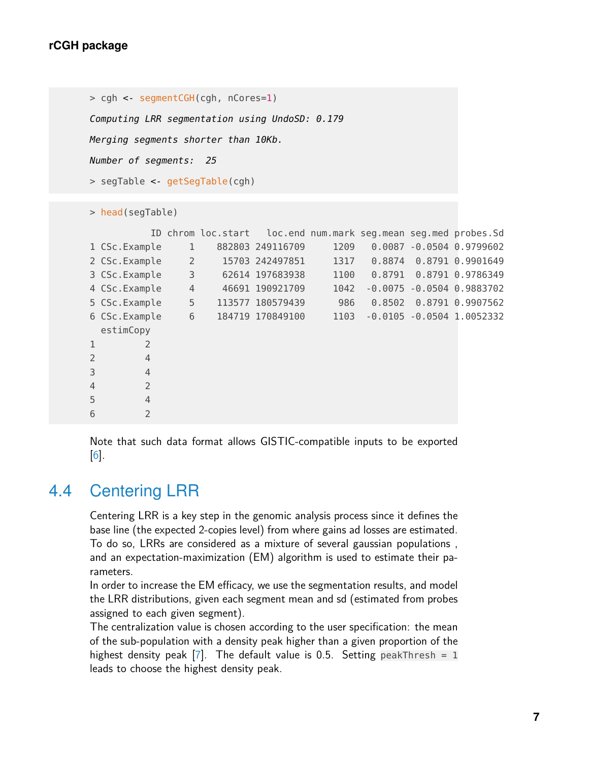```
> cgh <- segmentCGH(cgh, nCores=1)
Computing LRR segmentation using UndoSD: 0.179
Merging segments shorter than 10Kb.
Number of segments: 25
> segTable <- getSegTable(cgh)
```

```
> head(segTable)
```

|                |                |                | ID chrom loc.start loc.end num.mark seg.mean seg.med probes.Sd |      |        |                               |
|----------------|----------------|----------------|----------------------------------------------------------------|------|--------|-------------------------------|
|                | 1 CSc. Example | 1              | 882803 249116709                                               | 1209 |        | $0.0087 - 0.0504 0.9799602$   |
|                | 2 CSc. Example | 2              | 15703 242497851                                                | 1317 | 0.8874 | 0.8791 0.9901649              |
|                | 3 CSc. Example | 3              | 62614 197683938                                                | 1100 |        | $0.8791$ $0.8791$ $0.9786349$ |
|                | 4 CSc. Example | $\overline{4}$ | 46691 190921709                                                | 1042 |        | $-0.0075 - 0.0504 0.9883702$  |
|                | 5 CSc. Example | 5              | 113577 180579439                                               | 986  | 0.8502 | 0.8791 0.9907562              |
|                | 6 CSc. Example | 6              | 184719 170849100                                               | 1103 |        | $-0.0105 - 0.0504$ 1.0052332  |
|                | estimCopy      |                |                                                                |      |        |                               |
| 1              | $\overline{2}$ |                |                                                                |      |        |                               |
| $\overline{2}$ | $\overline{4}$ |                |                                                                |      |        |                               |
| 3              | $\overline{4}$ |                |                                                                |      |        |                               |
| $\overline{4}$ | $\overline{2}$ |                |                                                                |      |        |                               |
| 5              | $\overline{4}$ |                |                                                                |      |        |                               |
| 6              | $\overline{2}$ |                |                                                                |      |        |                               |

Note that such data format allows GISTIC-compatible inputs to be exported  $\vert 6 \vert$ .

### 4.4 Centering LRR

Centering LRR is a key step in the genomic analysis process since it defines the base line (the expected 2-copies level) from where gains ad losses are estimated. To do so, LRRs are considered as a mixture of several gaussian populations , and an expectation-maximization (EM) algorithm is used to estimate their parameters.

In order to increase the EM efficacy, we use the segmentation results, and model the LRR distributions, given each segment mean and sd (estimated from probes assigned to each given segment).

The centralization value is chosen according to the user specification: the mean of the sub-population with a density peak higher than a given proportion of the highest density peak  $[7]$ . The default value is 0.5. Setting peakThresh = 1 leads to choose the highest density peak.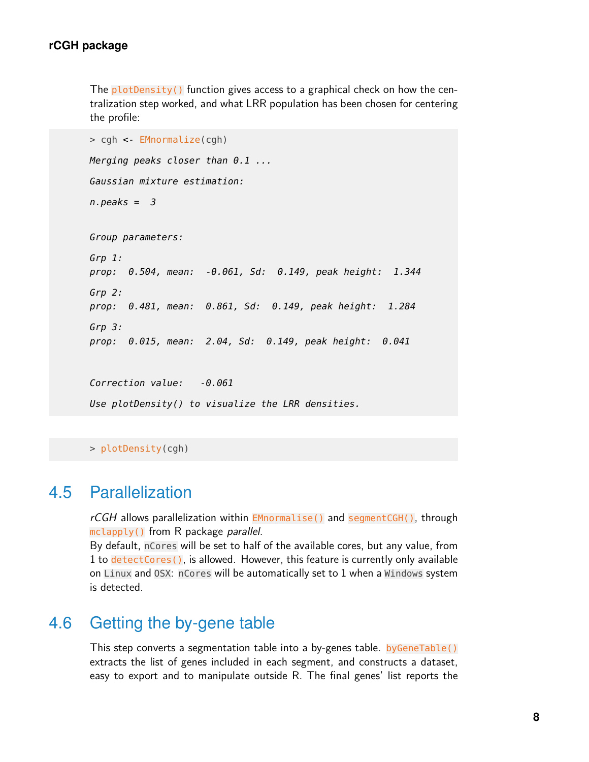The **plotDensity()** function gives access to a graphical check on how the centralization step worked, and what LRR population has been chosen for centering the profile:

```
> cgh <- EMnormalize(cgh)
Merging peaks closer than 0.1 ...
Gaussian mixture estimation:
n.peaks = 3Group parameters:
Grp 1:
prop: 0.504, mean: -0.061, Sd: 0.149, peak height: 1.344
Grp 2:
prop: 0.481, mean: 0.861, Sd: 0.149, peak height: 1.284
Grp 3:
prop: 0.015, mean: 2.04, Sd: 0.149, peak height: 0.041
Correction value: -0.061
Use plotDensity() to visualize the LRR densities.
```
> plotDensity(cgh)

#### 4.5 Parallelization

rCGH allows parallelization within EMnormalise() and segmentCGH(), through mclapply() from R package *parallel*.

By default, nCores will be set to half of the available cores, but any value, from 1 to detectCores(), is allowed. However, this feature is currently only available on Linux and OSX: nCores will be automatically set to 1 when a Windows system is detected.

### 4.6 Getting the by-gene table

This step converts a segmentation table into a by-genes table. by GeneTable() extracts the list of genes included in each segment, and constructs a dataset, easy to export and to manipulate outside R. The final genes' list reports the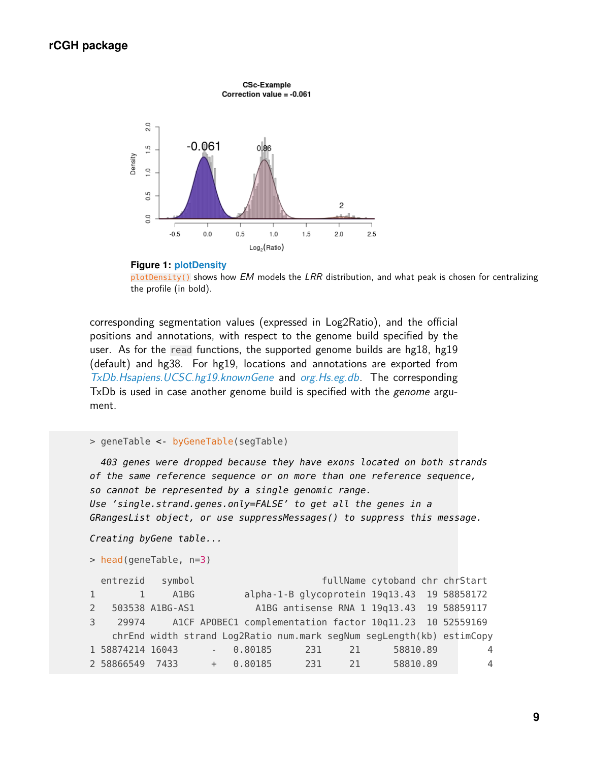

#### **Figure 1: plotDensity**

plotDensity() shows how EM models the LRR distribution, and what peak is chosen for centralizing the profile (in bold).

corresponding segmentation values (expressed in Log2Ratio), and the official positions and annotations, with respect to the genome build specified by the user. As for the read functions, the supported genome builds are hg18, hg19 (default) and hg38. For hg19, locations and annotations are exported from [TxDb.Hsapiens.UCSC.hg19.knownGene](http://bioconductor.org/packages/TxDb.Hsapiens.UCSC.hg19.knownGene) and [org.Hs.eg.db](http://bioconductor.org/packages/org.Hs.eg.db). The corresponding TxDb is used in case another genome build is specified with the *genome* argument.

```
> geneTable <- byGeneTable(segTable)
```
403 genes were dropped because they have exons located on both strands of the same reference sequence or on more than one reference sequence, so cannot be represented by a single genomic range. Use 'single.strand.genes.only=FALSE' to get all the genes in a GRangesList object, or use suppressMessages() to suppress this message.

```
Creating byGene table...
```

```
> head(geneTable, n=3)
```

```
entrezid symbol fullName cytoband chr chrStart
1 1 A1BG alpha-1-B glycoprotein 19q13.43 19 58858172
2 503538 A1BG-AS1 A1BG antisense RNA 1 19q13.43 19 58859117
3 29974 A1CF APOBEC1 complementation factor 10q11.23 10 52559169
   chrEnd width strand Log2Ratio num.mark segNum segLength(kb) estimCopy
1 58874214 16043 - 0.80185 231 21 58810.89 4
2 58866549 7433 + 0.80185 231 21 58810.89 4
```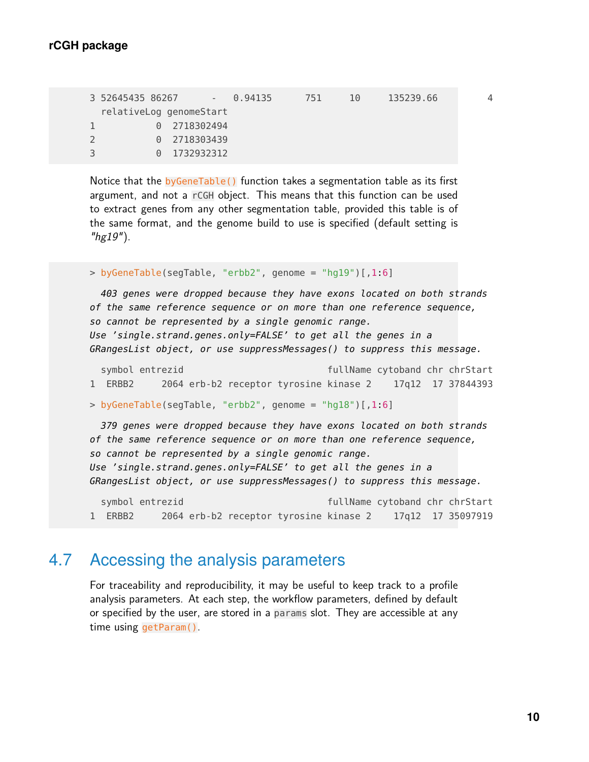```
3 52645435 86267 - 0.94135 751 10 135239.66 4
 relativeLog genomeStart
1 0 2718302494
2 0 2718303439
3 0 1732932312
```
Notice that the byGeneTable() function takes a segmentation table as its first argument, and not a rCGH object. This means that this function can be used to extract genes from any other segmentation table, provided this table is of the same format, and the genome build to use is specified (default setting is " $hg19"$ ).

```
> byGeneTable(segTable, "erbb2", genome = "hg19")[,1:6]
```
403 genes were dropped because they have exons located on both strands of the same reference sequence or on more than one reference sequence, so cannot be represented by a single genomic range. Use 'single.strand.genes.only=FALSE' to get all the genes in a GRangesList object, or use suppressMessages() to suppress this message.

symbol entrezid fullName cytoband chr chrStart 1 ERBB2 2064 erb-b2 receptor tyrosine kinase 2 17q12 17 37844393

```
> byGeneTable(segTable, "erbb2", genome = "hg18")[,1:6]
```
379 genes were dropped because they have exons located on both strands of the same reference sequence or on more than one reference sequence, so cannot be represented by a single genomic range. Use 'single.strand.genes.only=FALSE' to get all the genes in a GRangesList object, or use suppressMessages() to suppress this message.

```
symbol entrezid fullName cytoband chr chrStart
1 ERBB2 2064 erb-b2 receptor tyrosine kinase 2 17q12 17 35097919
```
### 4.7 Accessing the analysis parameters

For traceability and reproducibility, it may be useful to keep track to a profile analysis parameters. At each step, the workflow parameters, defined by default or specified by the user, are stored in a params slot. They are accessible at any time using getParam().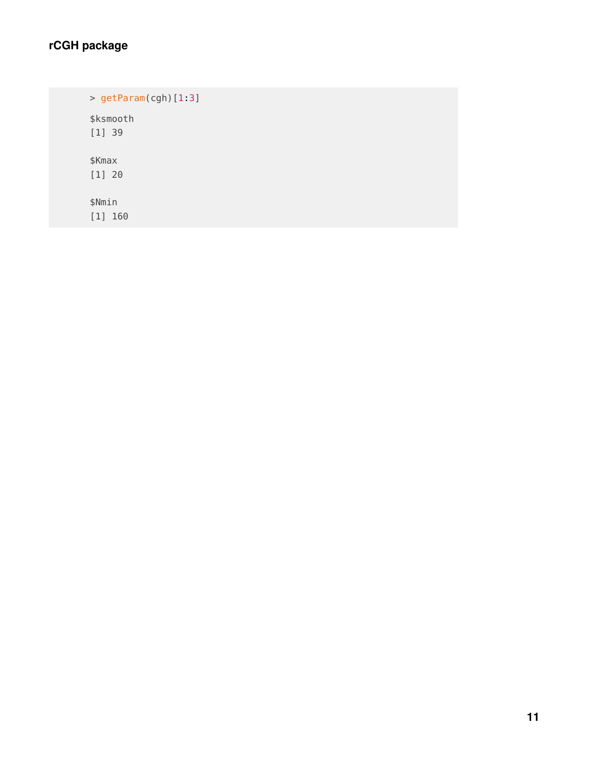### **rCGH package**

> getParam(cgh)[1:3] \$ksmooth [1] 39 \$Kmax [1] 20 \$Nmin [1] 160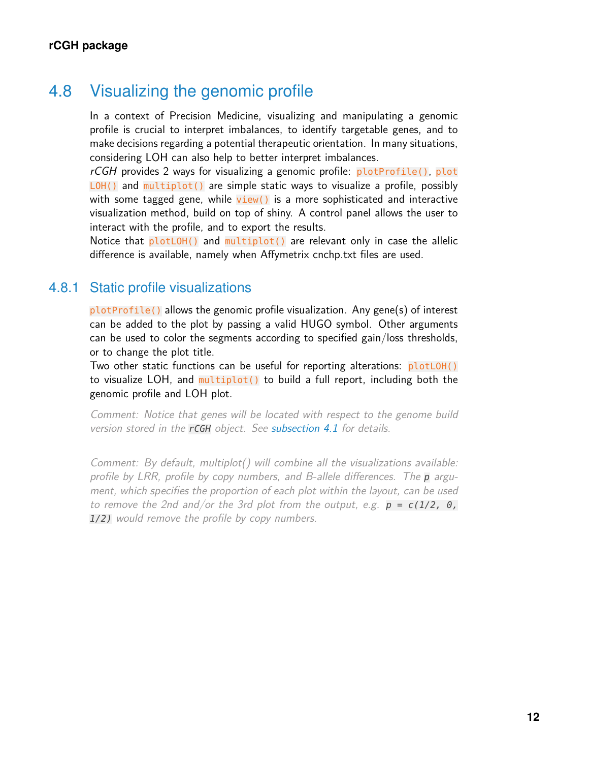### 4.8 Visualizing the genomic profile

In a context of Precision Medicine, visualizing and manipulating a genomic profile is crucial to interpret imbalances, to identify targetable genes, and to make decisions regarding a potential therapeutic orientation. In many situations, considering LOH can also help to better interpret imbalances.

rCGH provides 2 ways for visualizing a genomic profile: plotProfile(), plot LOH() and multiplot() are simple static ways to visualize a profile, possibly with some tagged gene, while  $view()$  is a more sophisticated and interactive visualization method, build on top of shiny. A control panel allows the user to interact with the profile, and to export the results.

Notice that  $plotDH()$  and multiplot() are relevant only in case the allelic difference is available, namely when Affymetrix cnchp.txt files are used.

#### 4.8.1 Static profile visualizations

plotProfile() allows the genomic profile visualization. Any gene(s) of interest can be added to the plot by passing a valid HUGO symbol. Other arguments can be used to color the segments according to specified gain/loss thresholds, or to change the plot title.

Two other static functions can be useful for reporting alterations: plotLOH() to visualize LOH, and multiplot() to build a full report, including both the genomic profile and LOH plot.

Comment: Notice that genes will be located with respect to the genome build version stored in the rCGH object. See [subsection 4.1](#page-1-0) for details.

Comment: By default, multiplot() will combine all the visualizations available: profile by LRR, profile by copy numbers, and B-allele differences. The  $p$  argument, which specifies the proportion of each plot within the layout, can be used to remove the 2nd and/or the 3rd plot from the output, e.g.  $p = c(1/2, 0, 0)$ 1/2) would remove the profile by copy numbers.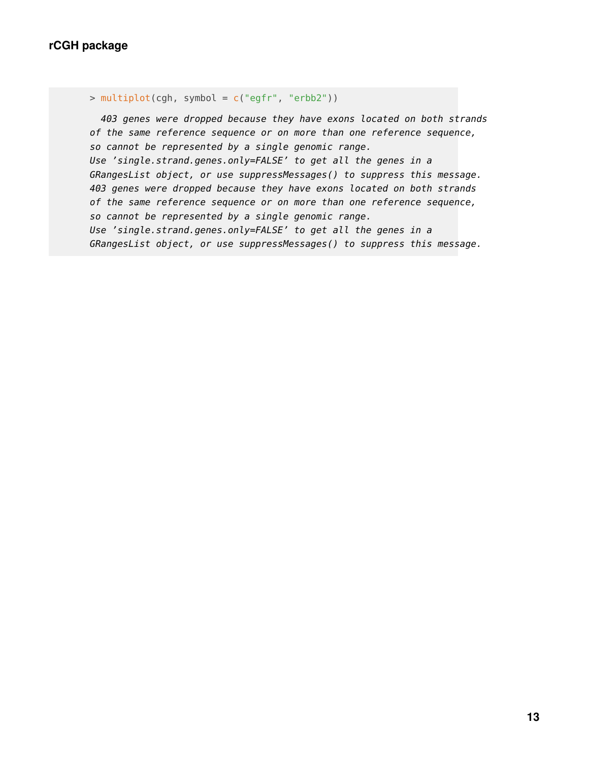```
> multiplot(cgh, symbol = c("egfr", "erbb2"))
```
403 genes were dropped because they have exons located on both strands of the same reference sequence or on more than one reference sequence, so cannot be represented by a single genomic range. Use 'single.strand.genes.only=FALSE' to get all the genes in a GRangesList object, or use suppressMessages() to suppress this message. 403 genes were dropped because they have exons located on both strands of the same reference sequence or on more than one reference sequence, so cannot be represented by a single genomic range. Use 'single.strand.genes.only=FALSE' to get all the genes in a GRangesList object, or use suppressMessages() to suppress this message.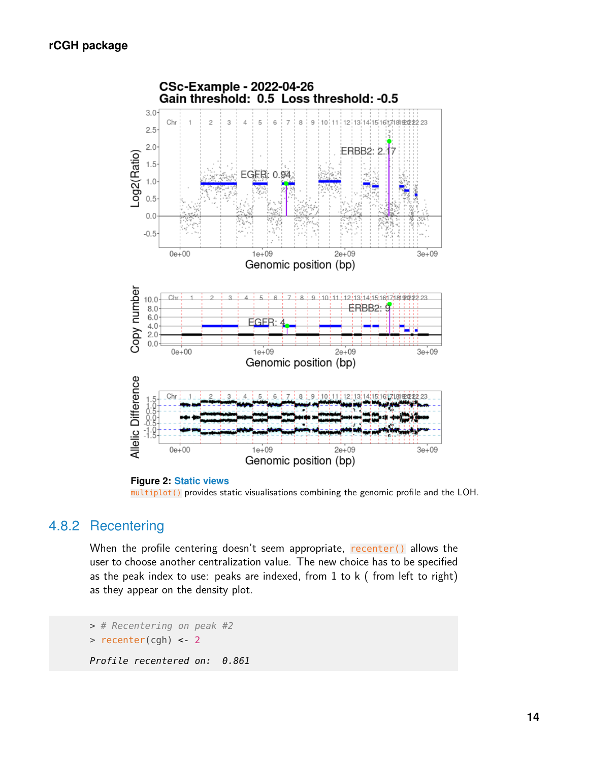

**Figure 2: Static views** multiplot() provides static visualisations combining the genomic profile and the LOH.

#### 4.8.2 Recentering

When the profile centering doesn't seem appropriate, recenter() allows the user to choose another centralization value. The new choice has to be specified as the peak index to use: peaks are indexed, from 1 to k ( from left to right) as they appear on the density plot.

```
> # Recentering on peak #2
> recenter(cgh) <- 2
Profile recentered on: 0.861
```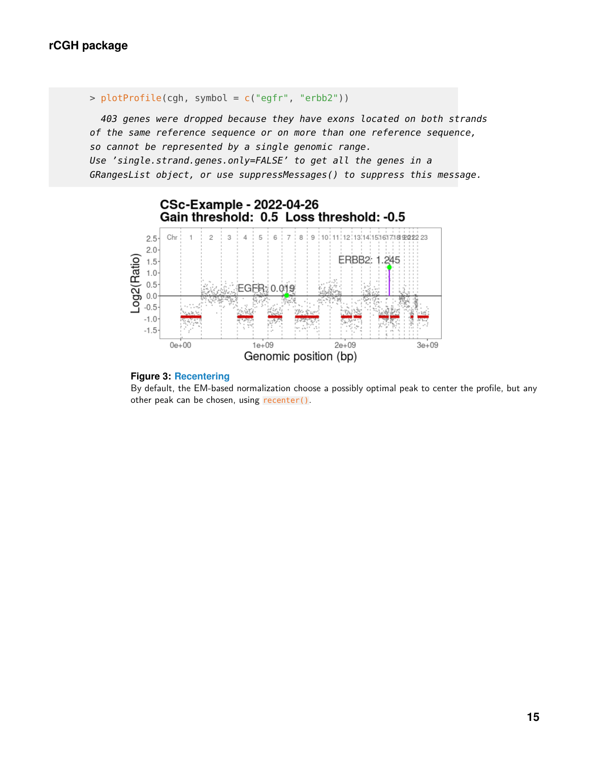```
> plotProfile(cgh, symbol = c("egfr", "erbb2"))
```
403 genes were dropped because they have exons located on both strands of the same reference sequence or on more than one reference sequence, so cannot be represented by a single genomic range. Use 'single.strand.genes.only=FALSE' to get all the genes in a GRangesList object, or use suppressMessages() to suppress this message.





By default, the EM-based normalization choose a possibly optimal peak to center the profile, but any other peak can be chosen, using recenter().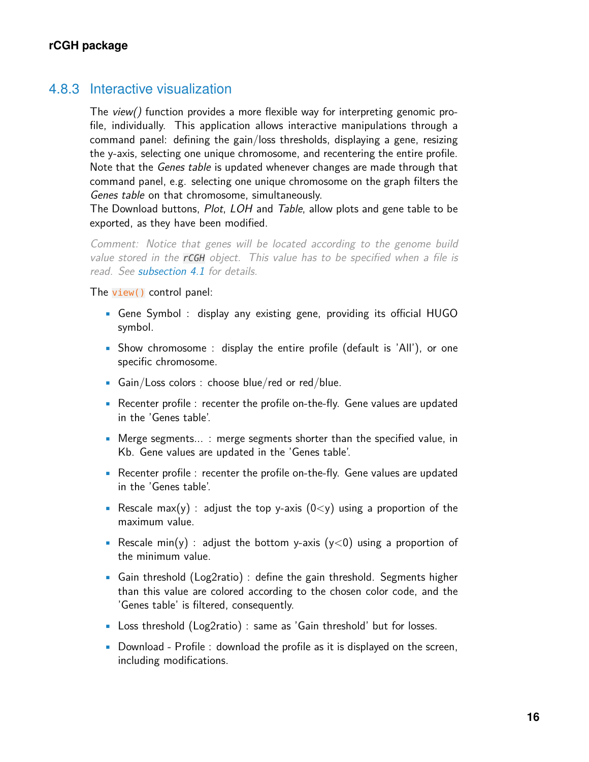#### 4.8.3 Interactive visualization

The view() function provides a more flexible way for interpreting genomic profile, individually. This application allows interactive manipulations through a command panel: defining the gain/loss thresholds, displaying a gene, resizing the y-axis, selecting one unique chromosome, and recentering the entire profile. Note that the *Genes table* is updated whenever changes are made through that command panel, e.g. selecting one unique chromosome on the graph filters the Genes table on that chromosome, simultaneously.

The Download buttons, *Plot, LOH* and *Table*, allow plots and gene table to be exported, as they have been modified.

Comment: Notice that genes will be located according to the genome build value stored in the **rCGH** object. This value has to be specified when a file is read. See [subsection 4.1](#page-1-0) for details.

The view() control panel:

- Gene Symbol : display any existing gene, providing its official HUGO symbol.
- Show chromosome : display the entire profile (default is 'All'), or one specific chromosome.
- Gain/Loss colors : choose blue/red or red/blue.
- Recenter profile : recenter the profile on-the-fly. Gene values are updated in the 'Genes table'.
- Merge segments... : merge segments shorter than the specified value, in Kb. Gene values are updated in the 'Genes table'.
- Recenter profile : recenter the profile on-the-fly. Gene values are updated in the 'Genes table'.
- Rescale max(y) : adjust the top y-axis  $(0 < y)$  using a proportion of the maximum value.
- Rescale min(y) : adjust the bottom y-axis ( $y$ <0) using a proportion of the minimum value.
- Gain threshold (Log2ratio) : define the gain threshold. Segments higher than this value are colored according to the chosen color code, and the 'Genes table' is filtered, consequently.
- Loss threshold (Log2ratio) : same as 'Gain threshold' but for losses.
- Download Profile : download the profile as it is displayed on the screen, including modifications.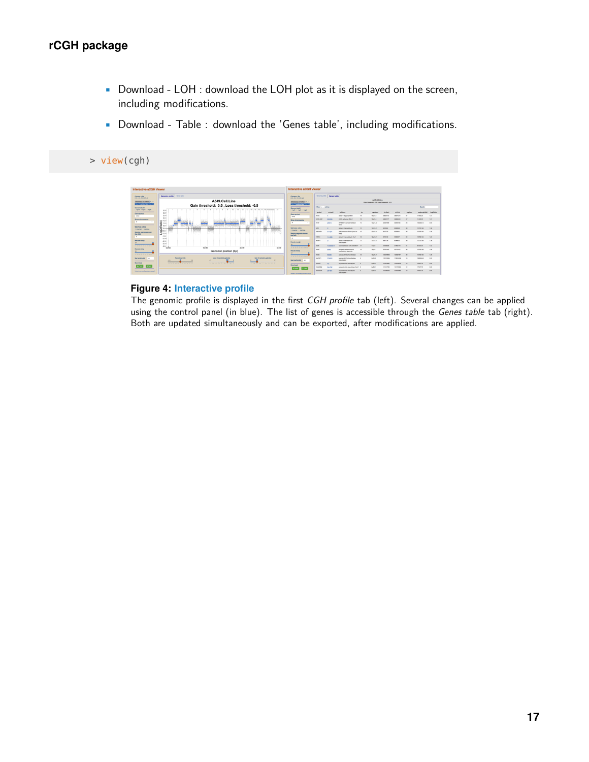- Download LOH : download the LOH plot as it is displayed on the screen, including modifications.
- Download Table : download the 'Genes table', including modifications.

#### > view(cgh)

| <b>Interactive aCGH Viewer</b>                                              |                                                                                                                                            | <b>Interactive aCGH Viewer</b>                                                                       |                                                                                 |                             |                                               |                |                    |                               |                        |               |                      |            |
|-----------------------------------------------------------------------------|--------------------------------------------------------------------------------------------------------------------------------------------|------------------------------------------------------------------------------------------------------|---------------------------------------------------------------------------------|-----------------------------|-----------------------------------------------|----------------|--------------------|-------------------------------|------------------------|---------------|----------------------|------------|
| Choose a file<br>Long. An Ad Aul aut<br>Choising an fichar [46.1]           | Ceras tuble<br>Generale prefile<br>A549.Cell.Line                                                                                          | Chinese a film<br>Come this Art Art and<br>Children on fichier 41.                                   | Cenomic profile<br><b>General table</b><br>ASAR Cut Line                        |                             |                                               |                |                    |                               |                        |               |                      |            |
| <b>CONTRACTOR</b><br>____<br>_<br>Genevator builds<br>April + North + North | Gain threshold: 0.5, Loss threshold: -0.5<br>$3.5 -$                                                                                       | <b>Contract of the Contract of Con-</b><br>_____<br><b>Geneva build</b><br><b>NOTE: HINGHO DIGES</b> | Gain threatypin R.S. Loss threatypin JLS.<br>Show is a settled<br><b>Search</b> |                             |                                               |                |                    |                               |                        |               |                      |            |
| _<br>-<br>Cere synbol                                                       | $3.0 -$                                                                                                                                    | ___<br>_<br><b>Carra syndrol</b>                                                                     | synthetic                                                                       | entreptd                    | <b>Millene</b>                                | ×              |                    |                               |                        |               | <b>MAX.APARTMENT</b> | Location   |
| <b>NOW</b>                                                                  | $2.5 -$<br>2.0                                                                                                                             | NO4                                                                                                  | <b>AND</b>                                                                      |                             | alpha 1.0 styromman                           | $\mathbf{u}$   | <b>SBell &amp;</b> | <b>SANGE!</b>                 | SMOVING                |               | 11406.20             | 187        |
| <b>Show chromosome</b><br>$\overline{a}$<br>$\sim$                          | $\frac{1}{8}$ $\frac{14}{10}$                                                                                                              | <b>Show chromosome</b>                                                                               | A MO AR                                                                         | ASMAN                       | AFBG antiumus PRA 1                           |                | <b>TRATTLE</b>     | <b>SAMATI</b>                 | <b>MARKAGE</b>         |               | 11405.20             | 187        |
| _______                                                                     |                                                                                                                                            | $\sim$<br>_____                                                                                      | ANDF                                                                            | <b>PRETI</b>                | APOBECT consterrentation<br>Santon            | $-10$          | 10411.23           | szonyes                       | S2645420               | 20            | 120320-12            | <b>CHI</b> |
| <b>Baily Loss subare</b><br>a blacked in rechter                            |                                                                                                                                            | <b>Daily Loss Judge</b>                                                                              | <b>APM</b>                                                                      |                             | siste è mangistule                            | $\rightarrow$  | 10013.21           | <b>N222004</b>                | SIMANA                 | $-96$         | 127221.65            | 1.36       |
| Marsing sasmaris shorter<br>than Mal                                        | Log2(Ra                                                                                                                                    | a blushed C seribles<br>Merging expressio shorter<br>then Not                                        | AZM-AS1                                                                         | 14457                       | A2M antiseroe RNA 1 (head to 12)<br>head      |                | 10/13.21           | <b>BENZINE</b>                | soores                 | $\sim$        | 127221.85            | 1.36       |
| m                                                                           | $-1.5 -$<br>$-2.0 -$                                                                                                                       | $^{16}$                                                                                              | <b>AZMA</b>                                                                     | <b><i><u>SAASAA</u></i></b> | alpha 2 mannesotubuln like 1                  | $\overline{u}$ | 12×13.31           | <b>ASCUTE</b>                 | 9030587                | $\mathbf{x}$  | 127231.66            | 1.36       |
| Rescute mashful<br>61                                                       | $4.6 -$<br>.<br>$40 -$                                                                                                                     | <b>Research marché</b><br>n.                                                                         | APM <sup>2</sup>                                                                |                             | able 2 mainstakers<br>pseudogene 1            | $\mathbf{r}$   | 12413.31           | \$201,000                     | SOMACO                 | $\mathbf{x}$  | 12/22/140            | 1.36       |
| at an one of the sea and the sea and                                        | .<br>- 21<br>$45 - 1$<br>3an19<br>24.05<br>Gentlin<br>fax09                                                                                | the aid out the first time that the time                                                             | AADE                                                                            | 10050687                    | uncharacterized LOC100606677 17               |                | sheep              | <b>SYANAHAR</b>               | 31000779               | $-41$         | 81043.54             | 1.52       |
| <b>Bearing minivi-</b><br>0.1                                               | Genomic position (bp)                                                                                                                      | <b>Bearals</b> mini-l.<br>m.                                                                         | <b>AAKS</b>                                                                     | <b>ADM</b>                  | acheimis, advenoustical<br>Haffalena, starteg | $-10$          | racra              | 55701240                      | <b>STOVAGIO</b>        | $\sim$        | 127221.85            | 1.36       |
| are not one has been contract that the                                      |                                                                                                                                            | and that they that they had they had the                                                             | AACE                                                                            | <b>ASMAS</b>                | andnanshri Coli sunitations                   |                | 12424.31           | 1255/06R15                    | 120627671              | $\mathbf{10}$ | <b>NOTICEL ALL</b>   | 1.36       |
| <b>Beg langific Miss 200</b><br>__<br>__                                    | Loss Westfield & selected<br><b>Balls Resoluted &amp; collection</b><br><b>Baranter scotts</b><br>15.6<br>14.6<br>$\overline{\phantom{a}}$ | <b>Sea lengthi-Mid __ nr</b>                                                                         | AACRPS                                                                          | 720520                      | andranety) CoA synthetizes<br>pseudogene 1    |                | 5x26.3             | 129101004                     | 1782shcM               | $^{16}$       | 1800M.dk             | 180        |
| Persentings                                                                 | ------------<br>------------                                                                                                               | _<br>Download                                                                                        | <b>MDAC</b>                                                                     | 13 <sup>°</sup>             | announce descriptor                           |                | 3426.7             | 151521901                     | <b>151548276</b>       | $-$           | 12647.70             | 0.82       |
| Africa<br>A Politi                                                          |                                                                                                                                            | A Tank                                                                                               | <b>ANDAQUE</b>                                                                  | 564792                      | an/aostamide describises-like 2 3             |                | 305.1              | <b><i>SENARCORA</i></b>       | <b><i>SEAUTERE</i></b> | $-10$         | <b>KINGER 20</b>     | 189        |
| <b>hade's connotigate encours</b>                                           |                                                                                                                                            | hadaric commodigate arousses to                                                                      | <b>ANDACPY</b>                                                                  | 221511                      | an/apriamide-describition<br>peautopera 1     |                | 8051               | <b><i><u>STARBOAL</u></i></b> | <b><i>SEASING</i></b>  | $\rightarrow$ | <b>KINGER</b>        | 6.95       |

#### **Figure 4: Interactive profile**

The genomic profile is displayed in the first CGH profile tab (left). Several changes can be applied using the control panel (in blue). The list of genes is accessible through the Genes table tab (right). Both are updated simultaneously and can be exported, after modifications are applied.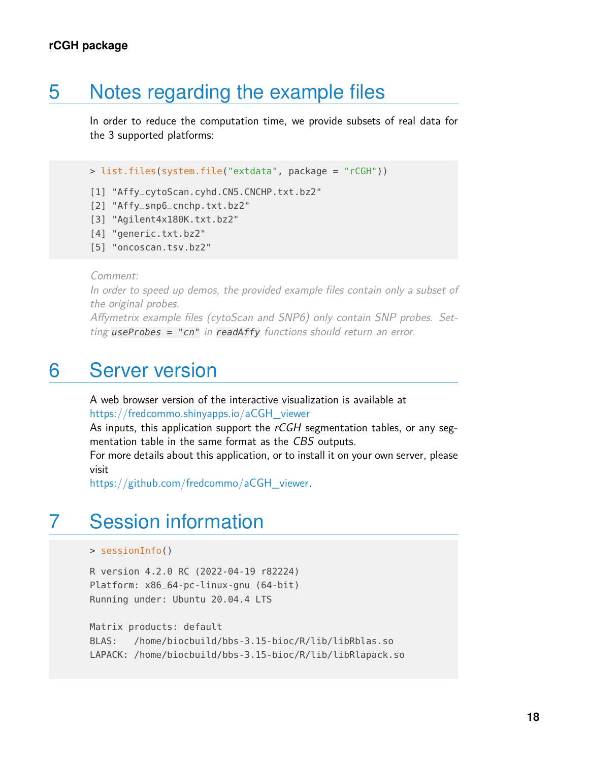## 5 Notes regarding the example files

In order to reduce the computation time, we provide subsets of real data for the 3 supported platforms:

```
> list.files(system.file("extdata", package = "rCGH"))
```
- [1] "Affy\_cytoScan.cyhd.CN5.CNCHP.txt.bz2"
- [2] "Affy\_snp6\_cnchp.txt.bz2"
- [3] "Agilent4x180K.txt.bz2"
- [4] "generic.txt.bz2"
- [5] "oncoscan.tsv.bz2"

Comment:

In order to speed up demos, the provided example files contain only a subset of the original probes.

Affymetrix example files (cytoScan and SNP6) only contain SNP probes. Setting  $useProbes = "cn" in readAffy functions should return an error.$ 

## 6 Server version

A web browser version of the interactive visualization is available at [https://fredcommo.shinyapps.io/aCGH\\_viewer](https://fredcommo.shinyapps.io/aCGH_viewer)

As inputs, this application support the  $rCGH$  segmentation tables, or any segmentation table in the same format as the CBS outputs.

For more details about this application, or to install it on your own server, please visit

[https://github.com/fredcommo/aCGH\\_viewer.](https://github.com/fredcommo/aCGH_viewer)

## 7 Session information

```
> sessionInfo()
```
R version 4.2.0 RC (2022-04-19 r82224) Platform: x86\_64-pc-linux-gnu (64-bit) Running under: Ubuntu 20.04.4 LTS

Matrix products: default BLAS: /home/biocbuild/bbs-3.15-bioc/R/lib/libRblas.so LAPACK: /home/biocbuild/bbs-3.15-bioc/R/lib/libRlapack.so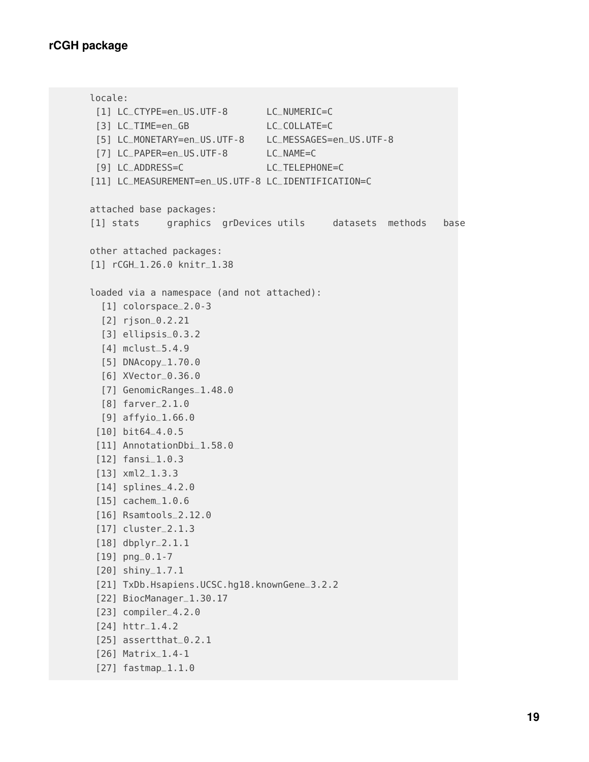```
locale:
 [1] LC_CTYPE=en_US.UTF-8 LC_NUMERIC=C
[3] LC_TIME=en_GB LC_COLLATE=C
[5] LC_MONETARY=en_US.UTF-8 LC_MESSAGES=en_US.UTF-8
[7] LC_PAPER=en_US.UTF-8 LC_NAME=C
[9] LC_ADDRESS=C LC_TELEPHONE=C
[11] LC_MEASUREMENT=en_US.UTF-8 LC_IDENTIFICATION=C
attached base packages:
[1] stats graphics grDevices utils datasets methods base
other attached packages:
[1] rCGH_1.26.0 knitr_1.38
loaded via a namespace (and not attached):
  [1] colorspace_2.0-3
  [2] rjson_0.2.21
  [3] ellipsis_0.3.2
 [4] mclust_5.4.9
 [5] DNAcopy_1.70.0
 [6] XVector_0.36.0
 [7] GenomicRanges_1.48.0
 [8] farver_2.1.0
 [9] affyio_1.66.0
 [10] bit64_4.0.5
[11] AnnotationDbi_1.58.0
[12] fansi_1.0.3
[13] xml2_1.3.3
 [14] splines_4.2.0
[15] cachem_1.0.6
[16] Rsamtools_2.12.0
[17] cluster_2.1.3
[18] dbplyr_2.1.1
[19] png_0.1-7
[20] shiny_1.7.1
 [21] TxDb.Hsapiens.UCSC.hg18.knownGene_3.2.2
 [22] BiocManager_1.30.17
[23] compiler_4.2.0
[24] httr_1.4.2
 [25] assertthat_0.2.1
 [26] Matrix_1.4-1
```

```
[27] fastmap_1.1.0
```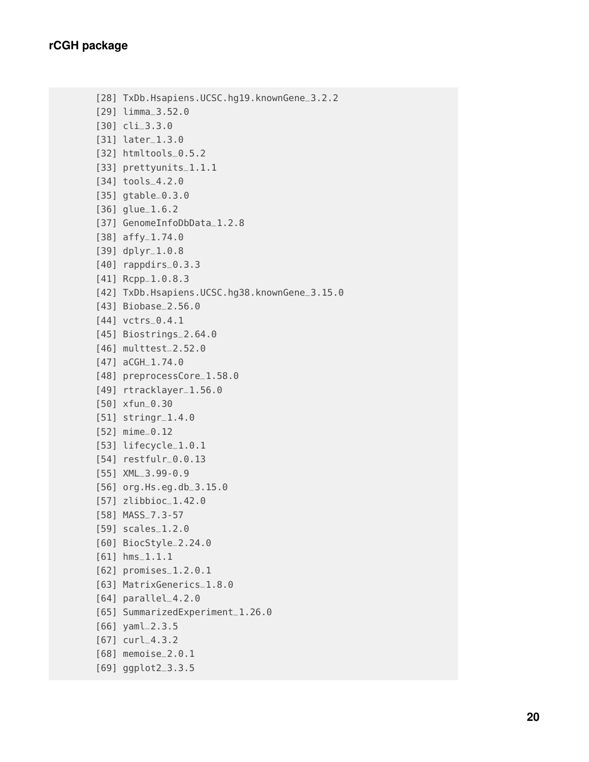```
[28] TxDb.Hsapiens.UCSC.hg19.knownGene_3.2.2
[29] limma_3.52.0
[30] cli_3.3.0
[31] later_1.3.0
[32] htmltools_0.5.2
[33] prettyunits_1.1.1
[34] tools_4.2.0
[35] gtable_0.3.0
[36] glue_1.6.2
[37] GenomeInfoDbData_1.2.8
[38] affy_1.74.0
[39] dplyr_1.0.8
[40] rappdirs_0.3.3
[41] Rcpp_1.0.8.3
[42] TxDb.Hsapiens.UCSC.hg38.knownGene_3.15.0
[43] Biobase_2.56.0
[44] vctrs_0.4.1
[45] Biostrings_2.64.0
[46] multtest_2.52.0
[47] aCGH_1.74.0
[48] preprocessCore_1.58.0
[49] rtracklayer_1.56.0
[50] xfun_0.30
[51] stringr_1.4.0
[52] mime_0.12
[53] lifecycle_1.0.1
[54] restfulr_0.0.13
[55] XML_3.99-0.9
[56] org.Hs.eg.db_3.15.0
[57] zlibbioc_1.42.0
[58] MASS_7.3-57
[59] scales_1.2.0
[60] BiocStyle_2.24.0
[61] hms_1.1.1
[62] promises_1.2.0.1
[63] MatrixGenerics_1.8.0
[64] parallel_4.2.0
[65] SummarizedExperiment_1.26.0
[66] yaml_2.3.5
[67] curl_4.3.2
[68] memoise_2.0.1
[69] ggplot2_3.3.5
```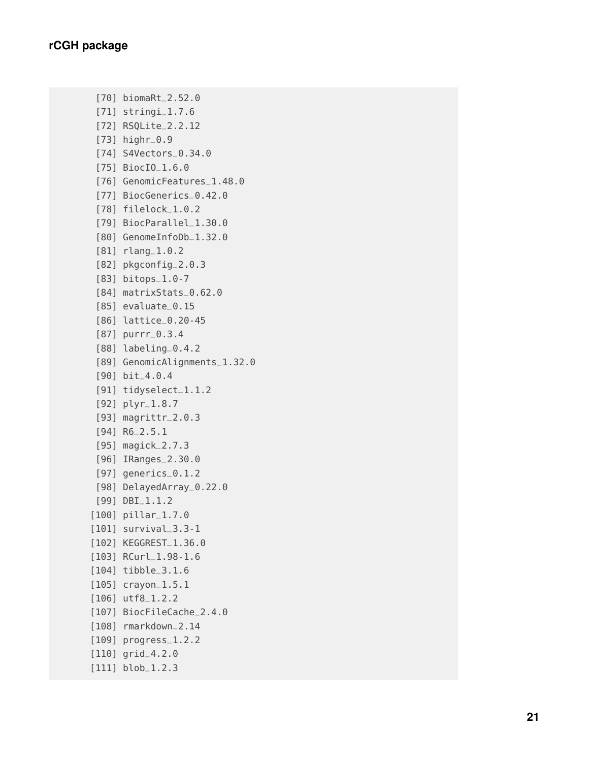```
[70] biomaRt
_2.52.0
 [71] stringi_1.7.6
 [72] RSQLite
_2.2.12
 [73] highr
_0.9
 [74] S4Vectors
_0.34.0
 [75] BiocIO_1.6.0
 [76] GenomicFeatures
_1.48.0
 [77] BiocGenerics
_0.42.0
 [78] filelock
_1.0.2
 [79] BiocParallel_1.30.0
 [80] GenomeInfoDb_1.32.0
 [81] rlang_1.0.2
 [82] pkgconfig
_2.0.3
 [83] bitops_1.0-7
 [84] matrixStats_0.62.0
 [85] evaluate
_0.15
 [86] lattice
_0.20-45
 [87] purrr
_0.3.4
 [88] labeling
_0.4.2
 [89] GenomicAlignments
_1.32.0
 [90] bit
_4.0.4
 [91] tidyselect
_1.1.2
 [92] plyr_1.8.7
 [93] magrittr
_2.0.3
 [94] R6
_2.5.1
 [95] magick
_2.7.3
 [96] IRanges
_2.30.0
 [97] generics
_0.1.2
 [98] DelayedArray
_0.22.0
 [99] DBI
_1.1.2
[100] pillar_1.7.0
[101] survival
_3.3-1
[102] KEGGREST_1.36.0
[103] RCurl_1.98-1.6
[104] tibble_3.1.6
[105] crayon_1.5.1
[106] utf8_1.2.2
[107] BiocFileCache_2.4.0
[108] rmarkdown_2.14
[109] progress_1.2.2
[110] grid
_4.2.0
[111] blob_1.2.3
```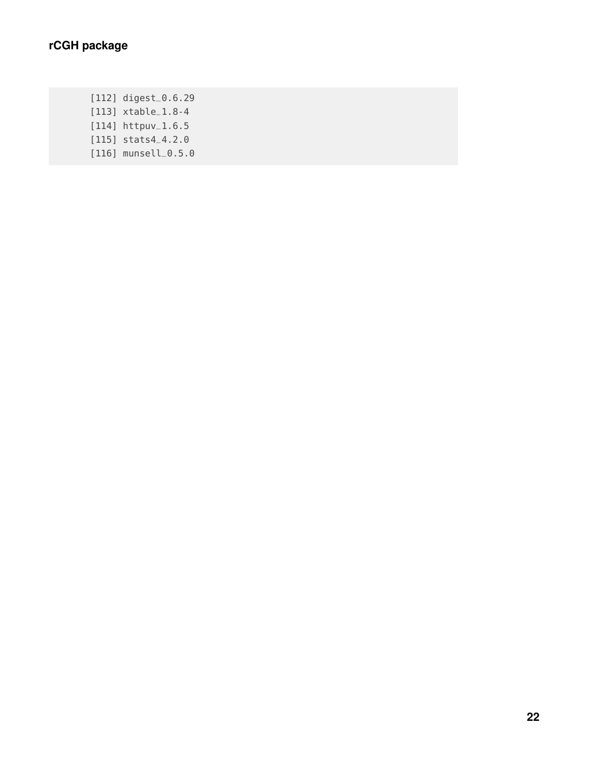[112] digest\_0.6.29 [113] xtable\_1.8-4 [114] httpuv\_1.6.5 [115] stats4\_4.2.0 [116] munsell\_0.5.0